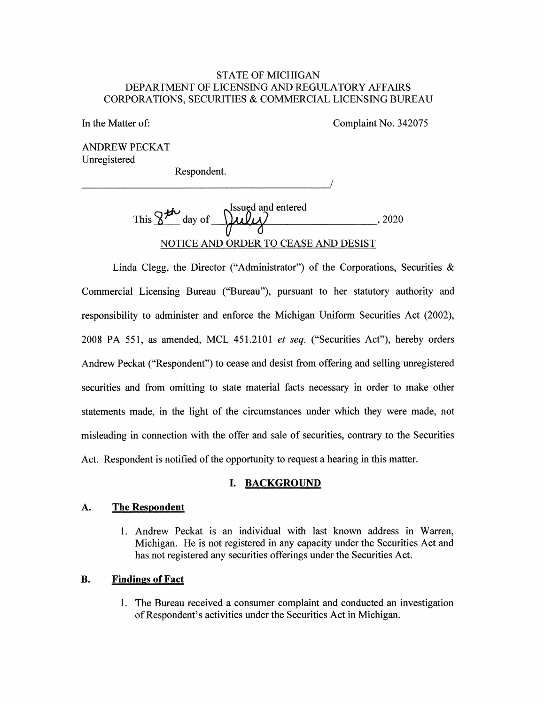# STATE OF MICHIGAN DEPARTMENT OF LICENSING AND REGULATORY AFFAIRS CORPORATIONS, SECURITIES & COMMERCIAL LICENSING BUREAU

In the Matter of: Complaint No. 342075

ANDREW PECKAT Unregistered

Respondent.

This  $\frac{1}{2}$ <sup>th</sup> day of  $\frac{1}{2}$   $\frac{1}{2}$  , 2020 NOTICE AND ORDER TO CEASE AND DESIST

Linda Clegg, the Director ("Administrator") of the Corporations, Securities  $\&$ Commercial Licensing Bureau ("Bureau"), pursuant to her statutory authority and responsibility to administer and enforce the Michigan Uniform Securities Act (2002), 2008 PA 551, as amended, MCL 451.2101 *et seq.* ("Securities Act"), hereby orders Andrew Peckat ("Respondent") to cease and desist from offering and selling unregistered securities and from omitting to state material facts necessary in order to make other statements made, in the light of the circumstances under which they were made, not misleading in connection with the offer and sale of securities, contrary to the Securities Act. Respondent is notified of the opportunity to request a hearing in this matter.

#### **I. BACKGROUND**

#### **A. The Respondent**

1. Andrew Peckat is an individual with last known address in Warren, Michigan. He is not registered in any capacity under the Securities Act and has not registered any securities offerings under the Securities Act.

## **B. Findings of Fact**

1. The Bureau received a consumer complaint and conducted an investigation of Respondent's activities under the Securities Act in Michigan.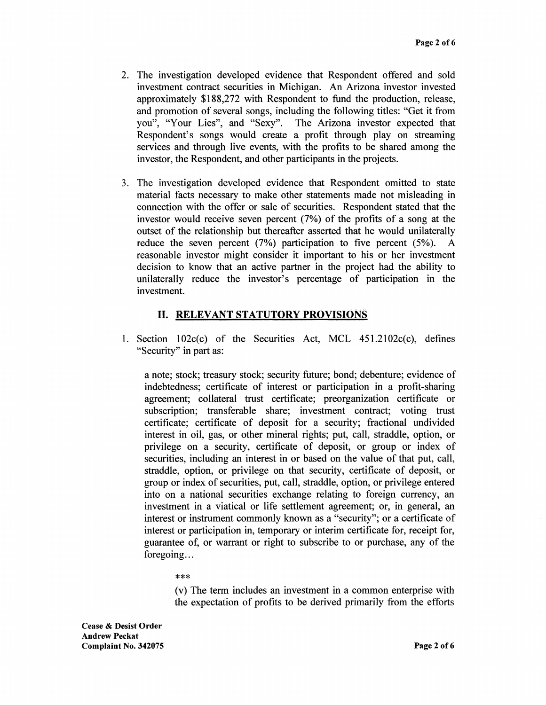- 2. The investigation developed evidence that Respondent offered and sold investment contract securities in Michigan. An Arizona investor invested approximately \$188,272 with Respondent to fund the production, release, and promotion of several songs, including the following titles: "Get it from you", "Your Lies", and "Sexy". The Arizona investor expected that Respondent's songs would create a profit through play on streaming services and through live events, with the profits to be shared among the investor, the Respondent, and other participants in the projects.
- 3. The investigation developed evidence that Respondent omitted to state material facts necessary to make other statements made not misleading in connection with the offer or sale of securities. Respondent stated that the investor would receive seven percent (7%) of the profits of a song at the outset of the relationship but thereafter asserted that he would unilaterally reduce the seven percent (7%) participation to five percent (5%). A reasonable investor might consider it important to his or her investment decision to know that an active partner in the project had the ability to unilaterally reduce the investor's percentage of participation in the investment.

# **11. RELEVANT STATUTORY PROVISIONS**

1. Section  $102c(c)$  of the Securities Act, MCL  $451.2102c(c)$ , defines "Security" in part as:

a note; stock; treasury stock; security future; bond; debenture; evidence of indebtedness; certificate of interest or participation in a profit-sharing agreement; collateral trust certificate; preorganization certificate or subscription; transferable share; investment contract; voting trust certificate; certificate of deposit for a security; fractional undivided interest in oil, gas, or other mineral rights; put, call, straddle, option, or privilege on a security, certificate of deposit, or group or index of securities, including an interest in or based on the value of that put, call, straddle, option, or privilege on that security, certificate of deposit, or group or index of securities, put, call, straddle, option, or privilege entered into on a national securities exchange relating to foreign currency, an investment in a viatical or life settlement agreement; or, in general, an interest or instrument commonly known as a "security"; or a certificate of interest or participation in, temporary or interim certificate for, receipt for, guarantee of, or warrant or right to subscribe to or purchase, any of the foregoing...

#### \*\*\*

(v) The term includes an investment in a common enterprise with the expectation of profits to be derived primarily from the efforts

**Cease** & **Desist Order Andrew Peckat Complaint No. 342075**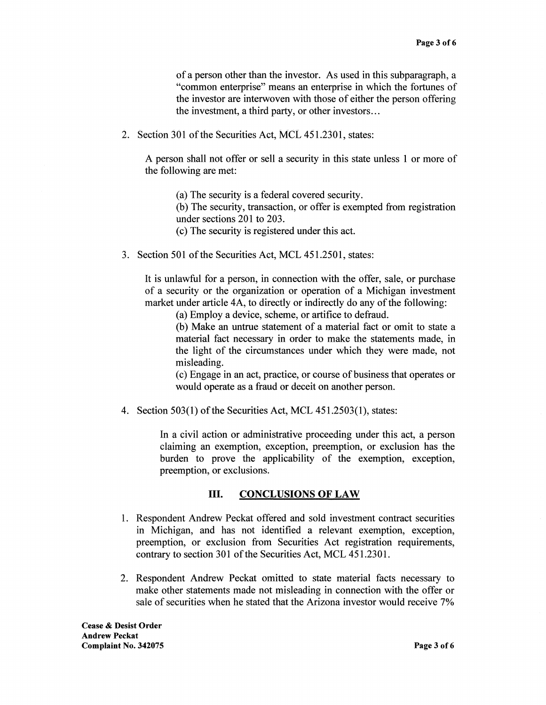of a person other than the investor. As used in this subparagraph, a "common enterprise" means an enterprise in which the fortunes of the investor are interwoven with those of either the person offering the investment, a third party, or other investors ...

2. Section 301 of the Securities Act, MCL 451.2301, states:

A person shall not offer or sell a security in this state unless 1 or more of the following are met:

(a) The security is a federal covered security.

(b) The security, transaction, or offer is exempted from registration under sections 201 to 203.

( c) The security is registered under this act.

3. Section 501 of the Securities Act, MCL 451.2501, states:

It is unlawful for a person, in connection with the offer, sale, or purchase of a security or the organization or operation of a Michigan investment market under article 4A, to directly or indirectly do any of the following:

(a) Employ a device, scheme, or artifice to defraud.

(b) Make an untrue statement of a material fact or omit to state a material fact necessary in order to make the statements made, in the light of the circumstances under which they were made, not misleading.

(c) Engage in an act, practice, or course of business that operates or would operate as a fraud or deceit on another person.

4. Section 503(1) of the Securities Act, MCL 451.2503(1), states:

In a civil action or administrative proceeding under this act, a person claiming an exemption, exception, preemption, or exclusion has the burden to prove the applicability of the exemption, exception, preemption, or exclusions.

## III. **CONCLUSIONS OF LAW**

- 1. Respondent Andrew Peckat offered and sold investment contract securities in Michigan, and has not identified a relevant exemption, exception, preemption, or exclusion from Securities Act registration requirements, contrary to section 301 of the Securities Act, MCL 451.2301.
- 2. Respondent Andrew Peckat omitted to state material facts necessary to make other statements made not misleading in connection with the offer or sale of securities when he stated that the Arizona investor would receive 7%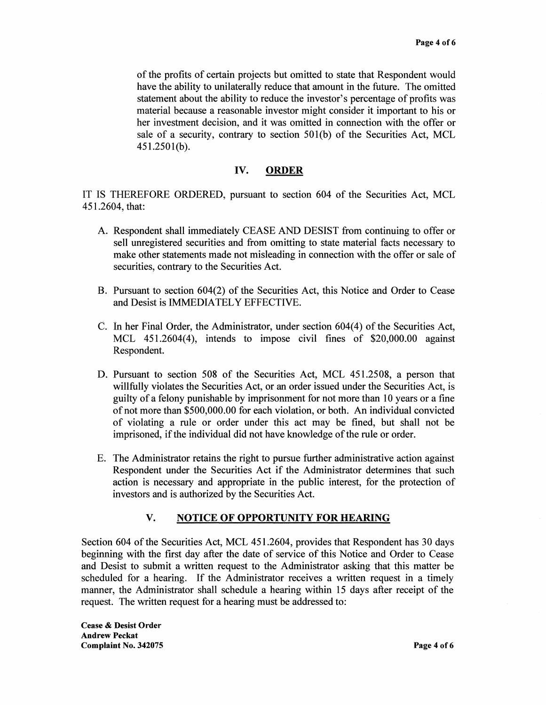of the profits of certain projects but omitted to state that Respondent would have the ability to unilaterally reduce that amount in the future. The omitted statement about the ability to reduce the investor's percentage of profits was material because a reasonable investor might consider it important to his or her investment decision, and it was omitted in connection with the offer or sale of a security, contrary to section 501(b) of the Securities Act, MCL 451.2501(b).

### **IV. ORDER**

IT IS THEREFORE ORDERED, pursuant to section 604 of the Securities Act, MCL 451.2604, that:

- A. Respondent shall immediately CEASE AND DESIST from continuing to offer or sell unregistered securities and from omitting to state material facts necessary to make other statements made not misleading in connection with the offer or sale of securities, contrary to the Securities Act.
- B. Pursuant to section 604(2) of the Securities Act, this Notice and Order to Cease and Desist is IMMEDIATELY EFFECTIVE.
- C. In her Final Order, the Administrator, under section 604(4) of the Securities Act, MCL 451.2604(4), intends to impose civil fines of \$20,000.00 against Respondent.
- D. Pursuant to section 508 of the Securities Act, MCL 451.2508, a person that willfully violates the Securities Act, or an order issued under the Securities Act, is guilty of a felony punishable by imprisonment for not more than 10 years or a fine of not more than \$500,000.00 for each violation, or both. An individual convicted of violating a rule or order under this act may be fined, but shall not be imprisoned, if the individual did not have knowledge of the rule or order.
- E. The Administrator retains the right to pursue further administrative action against Respondent under the Securities Act if the Administrator determines that such action is necessary and appropriate in the public interest, for the protection of investors and is authorized by the Securities Act.

#### **V. NOTICE OF OPPORTUNITY FOR HEARING**

Section 604 of the Securities Act, MCL 451.2604, provides that Respondent has 30 days beginning with the first day after the date of service of this Notice and Order to Cease and Desist to submit a written request to the Administrator asking that this matter be scheduled for a hearing. If the Administrator receives a written request in a timely manner, the Administrator shall schedule a hearing within 15 days after receipt of the request. The written request for a hearing must be addressed to:

**Cease** & **Desist Order Andrew Peckat Complaint No. 342075 Page 4of6**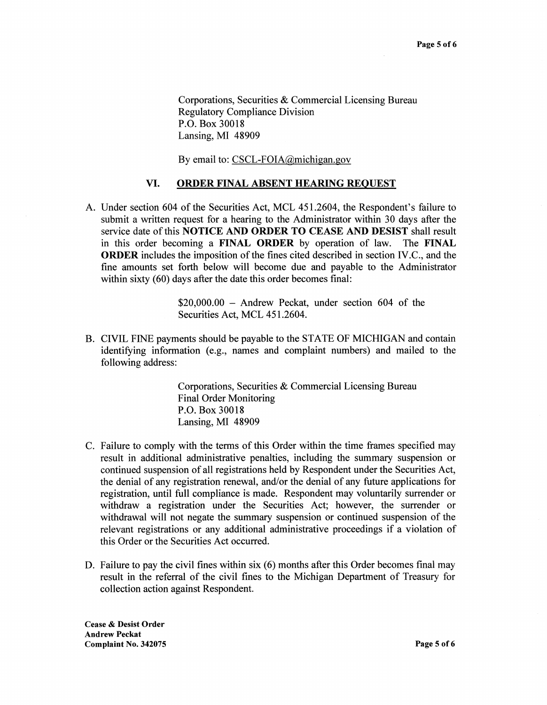Corporations, Securities & Commercial Licensing Bureau Regulatory Compliance Division P.O. Box 30018 Lansing, MI 48909

By email to: CSCL-FOIA@michigan.gov

#### **VI. ORDER FINAL ABSENT HEARING REQUEST**

A. Under section 604 of the Securities Act, MCL 451.2604, the Respondent's failure to submit a written request for a hearing to the Administrator within 30 days after the service date of this **NOTICE AND ORDER TO CEASE AND DESIST** shall result in this order becoming a **FINAL ORDER** by operation of law. The **FINAL ORDER** includes the imposition of the fines cited described in section IV.C., and the fine amounts set forth below will become due and payable to the Administrator within sixty (60) days after the date this order becomes final:

> $$20,000.00 -$  Andrew Peckat, under section 604 of the Securities Act, MCL 451.2604.

B. CIVIL FINE payments should be payable to the STATE OF MICHIGAN and contain identifying information (e.g., names and complaint numbers) and mailed to the following address:

> Corporations, Securities & Commercial Licensing Bureau Final Order Monitoring P.O. Box 30018 Lansing, MI 48909

- C. Failure to comply with the terms of this Order within the time frames specified may result in additional administrative penalties, including the summary suspension or continued suspension of all registrations held by Respondent under the Securities Act, the denial of any registration renewal, and/or the denial of any future applications for registration, until full compliance is made. Respondent may voluntarily surrender or withdraw a registration under the Securities Act; however, the surrender or withdrawal will not negate the summary suspension or continued suspension of the relevant registrations or any additional administrative proceedings if a violation of this Order or the Securities Act occurred.
- D. Failure to pay the civil fines within six (6) months after this Order becomes final may result in the referral of the civil fines to the Michigan Department of Treasury for collection action against Respondent.

**Cease** & **Desist Order Andrew Peckat Complaint No. 342075 Page 5 of6**